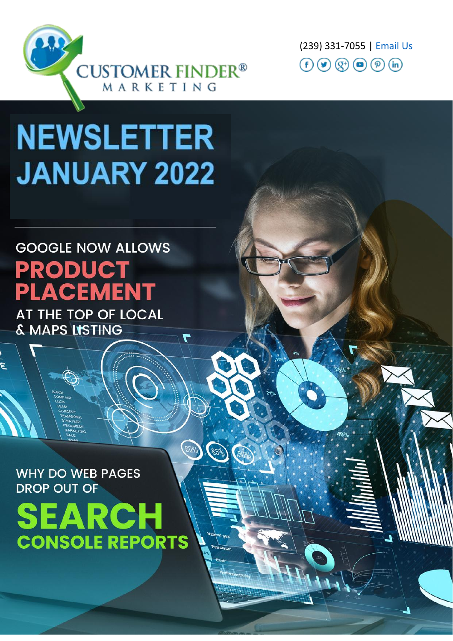

(239) 331-7055 | Email Us  $\textcircled{\textcircled{\textcirc}}$   $\textcircled{\textcircled{\textcirc}}}$   $\textcircled{\textcircled{\textcirc}}$   $\textcircled{\textcircled{\textcirc}}$ 

# **NEWSLETTER JANUARY 2022**

## **GOOGLE NOW ALLOWS PRODUCT ACEMENT**

AT THE TOP OF LOCAL & MAPS LISTING

 $\blacktriangledown$ 

*BDol<sup>p</sup>* 

**WHY DO WEB PAGES DROP OUT OF** 

**SEARCH CONSOLE REPORTS**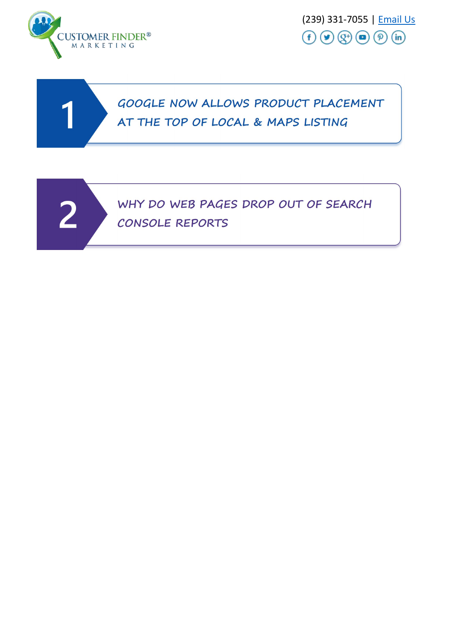

(239) 331-7055 | Email Us  $(f)$   $(g)$   $(g)$   $\circledcirc$   $(p)$   $(n)$ 

#### GOOGLE NOW ALLOWS PRODUCT PLACEMENT AT THE TOP OF LOCAL & MAPS LISTING

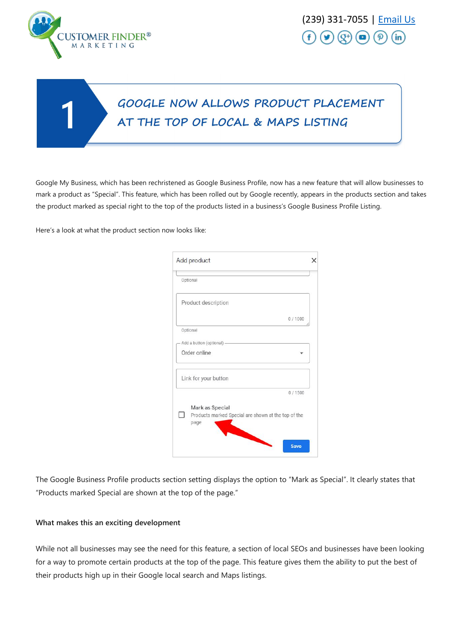

### GOOGLE NOW ALLOWS PRODUCT PLACEMENT AT THE TOP OF LOCAL & MAPS LISTING

Google My Business, which has been rechristened as Google Business Profile, now has a new feature that will allow businesses to mark a product as "Special". This feature, which has been rolled out by Google recently, appears in the products section and takes the product marked as special right to the top of the products listed in a business's Google Business Profile Listing.

Here's a look at what the product section now looks like:

| Add product                                                                            |  |
|----------------------------------------------------------------------------------------|--|
| Optional                                                                               |  |
| Product description                                                                    |  |
| 0/1000                                                                                 |  |
| Optional                                                                               |  |
| Add a button (optional) -                                                              |  |
| Order online                                                                           |  |
| Link for your button                                                                   |  |
| 0/1500                                                                                 |  |
| Mark as Special<br>Products marked Special are shown at the top of the<br>page<br>Save |  |

The Google Business Profile products section setting displays the option to "Mark as Special". It clearly states that "Products marked Special are shown at the top of the page."

#### **What makes this an exciting development**

While not all businesses may see the need for this feature, a section of local SEOs and businesses have been looking for a way to promote certain products at the top of the page. This feature gives them the ability to put the best of their products high up in their Google local search and Maps listings.